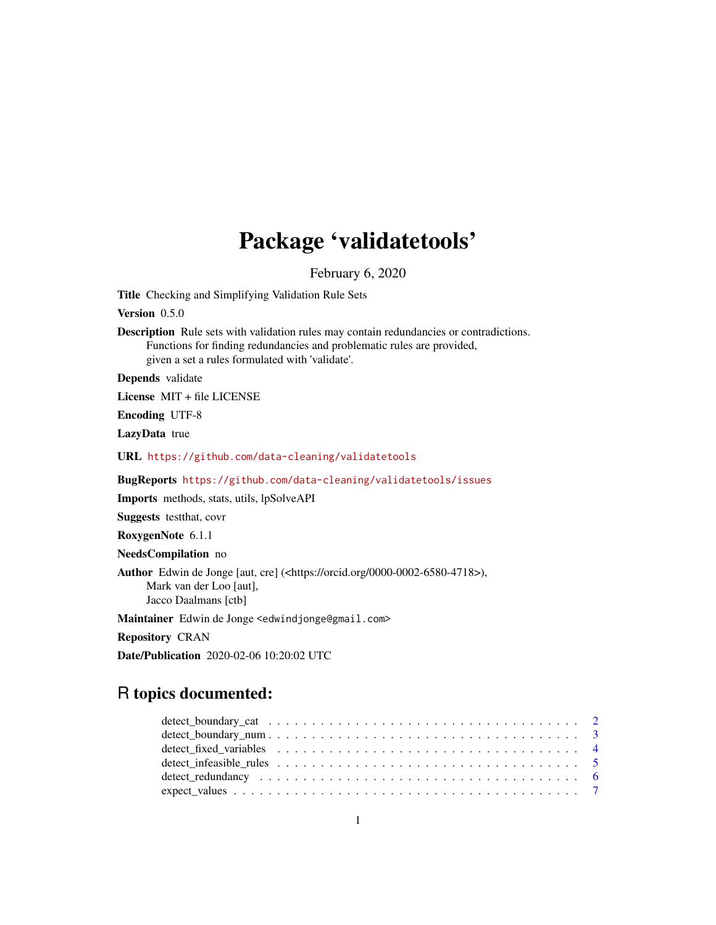## Package 'validatetools'

February 6, 2020

<span id="page-0-0"></span>Title Checking and Simplifying Validation Rule Sets

Version 0.5.0

**Description** Rule sets with validation rules may contain redundancies or contradictions. Functions for finding redundancies and problematic rules are provided, given a set a rules formulated with 'validate'.

Depends validate

License MIT + file LICENSE

Encoding UTF-8

LazyData true

URL <https://github.com/data-cleaning/validatetools>

BugReports <https://github.com/data-cleaning/validatetools/issues>

Imports methods, stats, utils, lpSolveAPI

Suggests testthat, covr

RoxygenNote 6.1.1

NeedsCompilation no

Author Edwin de Jonge [aut, cre] (<https://orcid.org/0000-0002-6580-4718>), Mark van der Loo [aut], Jacco Daalmans [ctb]

Maintainer Edwin de Jonge <edwindjonge@gmail.com>

Repository CRAN

Date/Publication 2020-02-06 10:20:02 UTC

## R topics documented: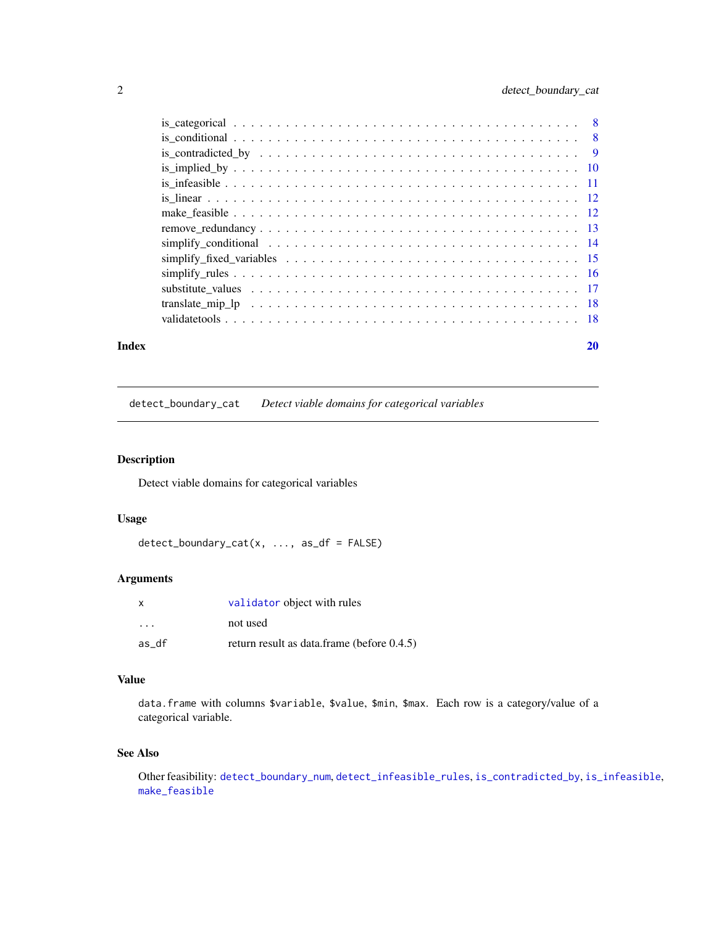<span id="page-1-0"></span>

|                                                                                                            | 20 |
|------------------------------------------------------------------------------------------------------------|----|
|                                                                                                            |    |
|                                                                                                            |    |
|                                                                                                            |    |
|                                                                                                            |    |
|                                                                                                            |    |
|                                                                                                            |    |
| simplify conditional $\ldots \ldots \ldots \ldots \ldots \ldots \ldots \ldots \ldots \ldots \ldots \ldots$ |    |
|                                                                                                            |    |
|                                                                                                            |    |
|                                                                                                            |    |
|                                                                                                            |    |
|                                                                                                            |    |
|                                                                                                            |    |
|                                                                                                            |    |
|                                                                                                            |    |
|                                                                                                            |    |

## <span id="page-1-1"></span>detect\_boundary\_cat *Detect viable domains for categorical variables*

## Description

Detect viable domains for categorical variables

## Usage

detect\_boundary\_cat(x, ..., as\_df = FALSE)

## Arguments

| X                       | validator object with rules                |
|-------------------------|--------------------------------------------|
| $\cdot$ $\cdot$ $\cdot$ | not used                                   |
| as df                   | return result as data.frame (before 0.4.5) |

## Value

data.frame with columns \$variable, \$value, \$min, \$max. Each row is a category/value of a categorical variable.

#### See Also

Other feasibility: [detect\\_boundary\\_num](#page-2-1), [detect\\_infeasible\\_rules](#page-4-1), [is\\_contradicted\\_by](#page-8-1), [is\\_infeasible](#page-10-1), [make\\_feasible](#page-11-1)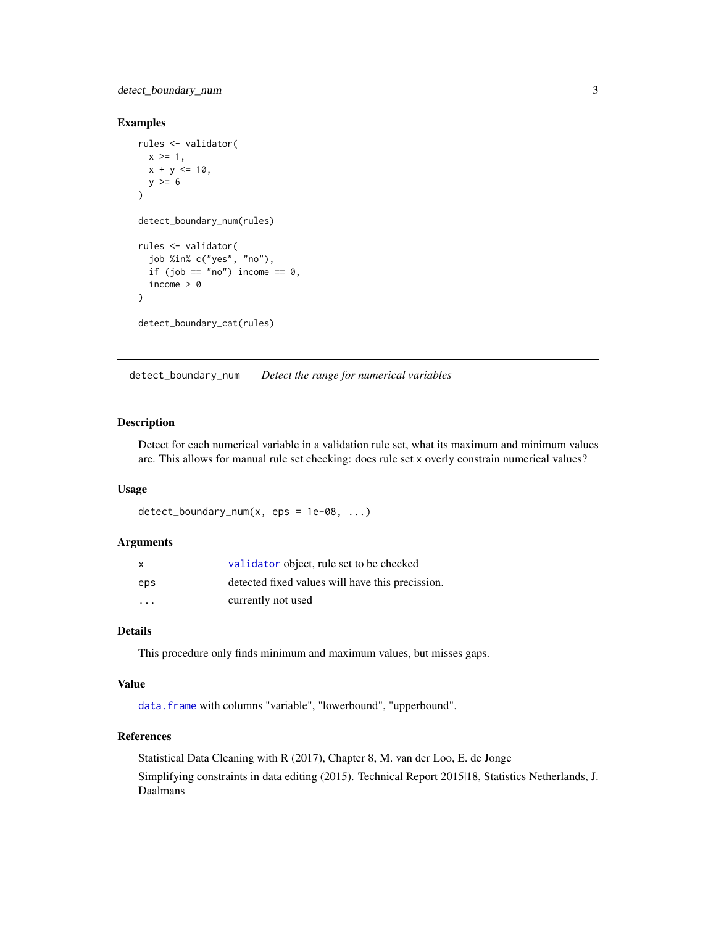<span id="page-2-0"></span>detect\_boundary\_num 3

#### Examples

```
rules <- validator(
  x \ge 1,
  x + y \le 10,
  y \ge 6\lambdadetect_boundary_num(rules)
rules <- validator(
  job %in% c("yes", "no"),
  if (job == "no") income == 0,
  income > 0
)
detect_boundary_cat(rules)
```
<span id="page-2-1"></span>detect\_boundary\_num *Detect the range for numerical variables*

## Description

Detect for each numerical variable in a validation rule set, what its maximum and minimum values are. This allows for manual rule set checking: does rule set x overly constrain numerical values?

#### Usage

```
detect_boundary_num(x, eps = 1e-08, ...)
```
#### Arguments

| X                 | validator object, rule set to be checked         |
|-------------------|--------------------------------------------------|
| eps               | detected fixed values will have this precission. |
| $\cdot\cdot\cdot$ | currently not used                               |

#### Details

This procedure only finds minimum and maximum values, but misses gaps.

#### Value

[data.frame](#page-0-0) with columns "variable", "lowerbound", "upperbound".

#### References

Statistical Data Cleaning with R (2017), Chapter 8, M. van der Loo, E. de Jonge Simplifying constraints in data editing (2015). Technical Report 2015|18, Statistics Netherlands, J. Daalmans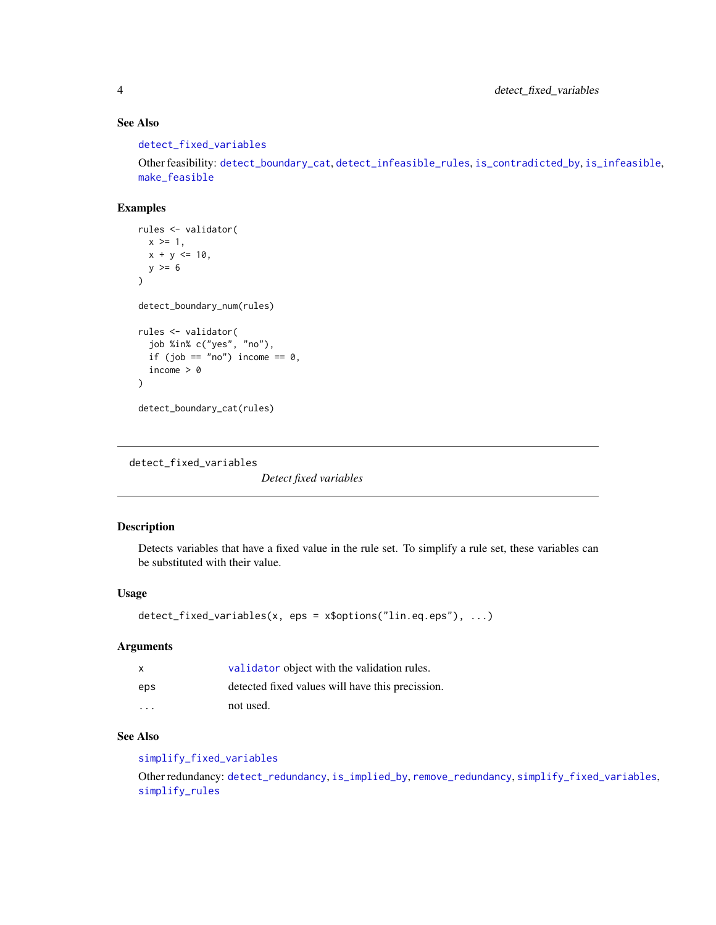## See Also

[detect\\_fixed\\_variables](#page-3-1)

Other feasibility: [detect\\_boundary\\_cat](#page-1-1), [detect\\_infeasible\\_rules](#page-4-1), [is\\_contradicted\\_by](#page-8-1), [is\\_infeasible](#page-10-1), [make\\_feasible](#page-11-1)

## Examples

```
rules <- validator(
  x > = 1,
  x + y \le 10,
 y \geq 6)
detect_boundary_num(rules)
rules <- validator(
  job %in% c("yes", "no"),
  if (job == "no") income == 0,
  income > 0)
detect_boundary_cat(rules)
```
<span id="page-3-1"></span>detect\_fixed\_variables

*Detect fixed variables*

## Description

Detects variables that have a fixed value in the rule set. To simplify a rule set, these variables can be substituted with their value.

#### Usage

```
detect_fixed_variables(x, eps = x$options("lin.eq.eps"), ...)
```
#### Arguments

| X                       | validator object with the validation rules.      |
|-------------------------|--------------------------------------------------|
| eps                     | detected fixed values will have this precission. |
| $\cdot$ $\cdot$ $\cdot$ | not used.                                        |

## See Also

[simplify\\_fixed\\_variables](#page-14-1)

Other redundancy: [detect\\_redundancy](#page-5-1), [is\\_implied\\_by](#page-9-1), [remove\\_redundancy](#page-12-1), [simplify\\_fixed\\_variables](#page-14-1), [simplify\\_rules](#page-15-1)

<span id="page-3-0"></span>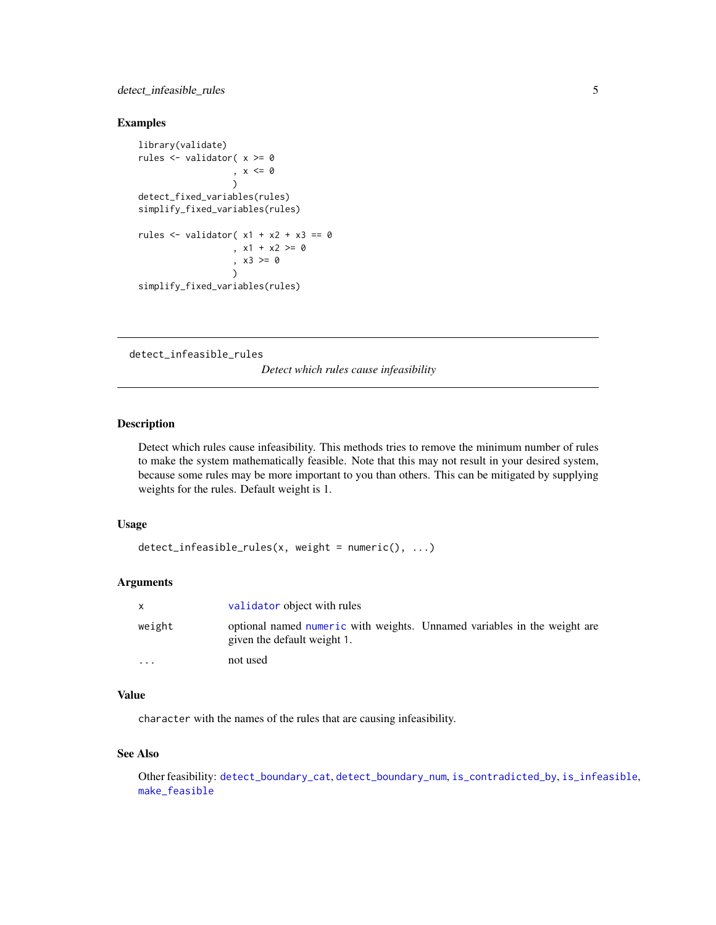## <span id="page-4-0"></span>detect\_infeasible\_rules 5

#### Examples

```
library(validate)
rules <- validator( x >= 0
                   , x \leq \emptyset\lambdadetect_fixed_variables(rules)
simplify_fixed_variables(rules)
rules \le validator( x1 + x2 + x3 == 0
                   , x1 + x2 > = 0, x3 >= 0
                   )
simplify_fixed_variables(rules)
```
<span id="page-4-1"></span>detect\_infeasible\_rules

*Detect which rules cause infeasibility*

## Description

Detect which rules cause infeasibility. This methods tries to remove the minimum number of rules to make the system mathematically feasible. Note that this may not result in your desired system, because some rules may be more important to you than others. This can be mitigated by supplying weights for the rules. Default weight is 1.

#### Usage

```
detect_infeasible_rules(x, weight = numeric(), ...)
```
#### Arguments

| $\mathsf{x}$            | validator object with rules                                                                             |  |
|-------------------------|---------------------------------------------------------------------------------------------------------|--|
| weight                  | optional named numeric with weights. Unnamed variables in the weight are<br>given the default weight 1. |  |
| $\cdot$ $\cdot$ $\cdot$ | not used                                                                                                |  |

#### Value

character with the names of the rules that are causing infeasibility.

#### See Also

Other feasibility: [detect\\_boundary\\_cat](#page-1-1), [detect\\_boundary\\_num](#page-2-1), [is\\_contradicted\\_by](#page-8-1), [is\\_infeasible](#page-10-1), [make\\_feasible](#page-11-1)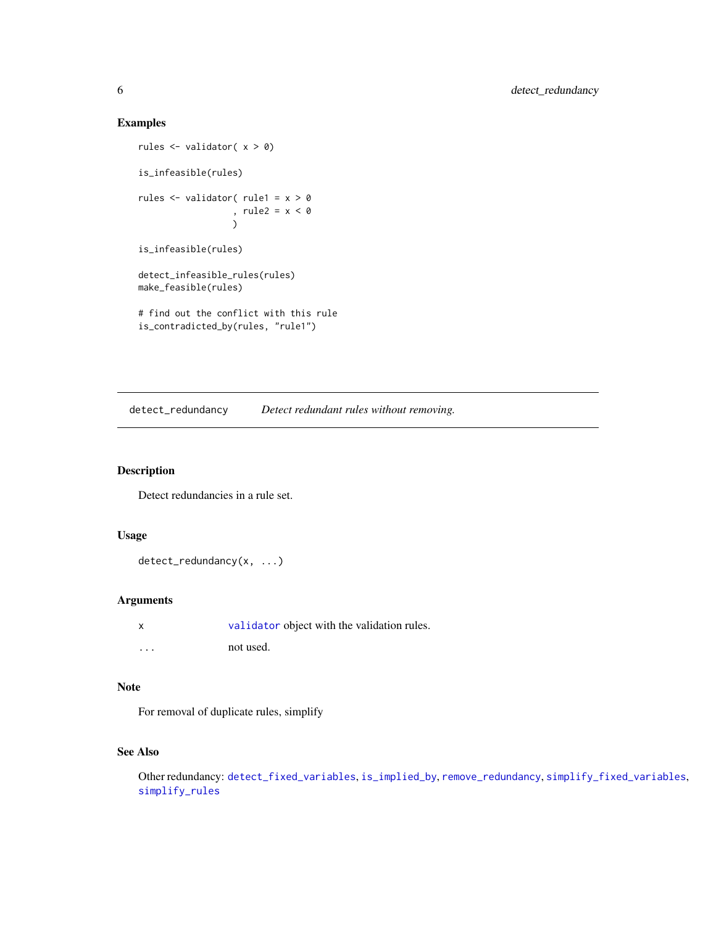## Examples

```
rules <- validator( x > 0)
is_infeasible(rules)
rules <- validator( rule1 = x > 0
                  , rule2 = x < 0
                  \lambdais_infeasible(rules)
detect_infeasible_rules(rules)
make_feasible(rules)
# find out the conflict with this rule
is_contradicted_by(rules, "rule1")
```
<span id="page-5-1"></span>detect\_redundancy *Detect redundant rules without removing.*

#### Description

Detect redundancies in a rule set.

#### Usage

detect\_redundancy(x, ...)

#### Arguments

| X        | validator object with the validation rules. |
|----------|---------------------------------------------|
| $\cdots$ | not used.                                   |

#### Note

For removal of duplicate rules, simplify

## See Also

Other redundancy: [detect\\_fixed\\_variables](#page-3-1), [is\\_implied\\_by](#page-9-1), [remove\\_redundancy](#page-12-1), [simplify\\_fixed\\_variables](#page-14-1), [simplify\\_rules](#page-15-1)

<span id="page-5-0"></span>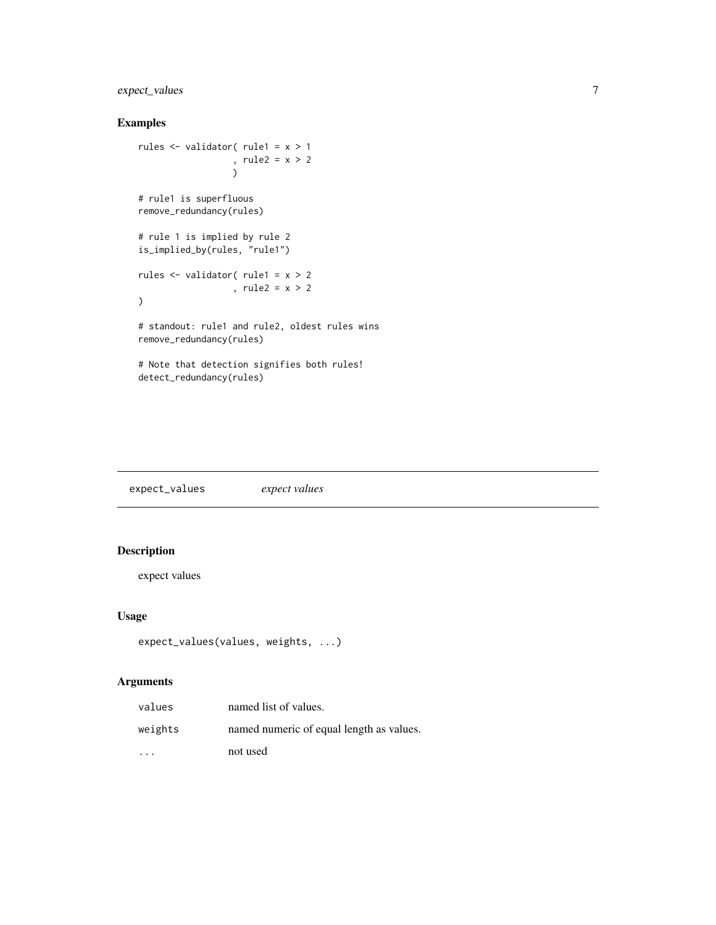## <span id="page-6-0"></span>expect\_values 7

## Examples

```
rules <- validator( rule1 = x > 1
                  , rule2 = x > 2
                  \lambda# rule1 is superfluous
remove_redundancy(rules)
# rule 1 is implied by rule 2
is_implied_by(rules, "rule1")
rules <- validator( rule1 = x > 2
                   , rule2 = x > 2
\mathcal{L}# standout: rule1 and rule2, oldest rules wins
remove_redundancy(rules)
# Note that detection signifies both rules!
detect_redundancy(rules)
```
expect\_values *expect values*

## Description

expect values

#### Usage

```
expect_values(values, weights, ...)
```

| values  | named list of values.                    |
|---------|------------------------------------------|
| weights | named numeric of equal length as values. |
| $\cdot$ | not used                                 |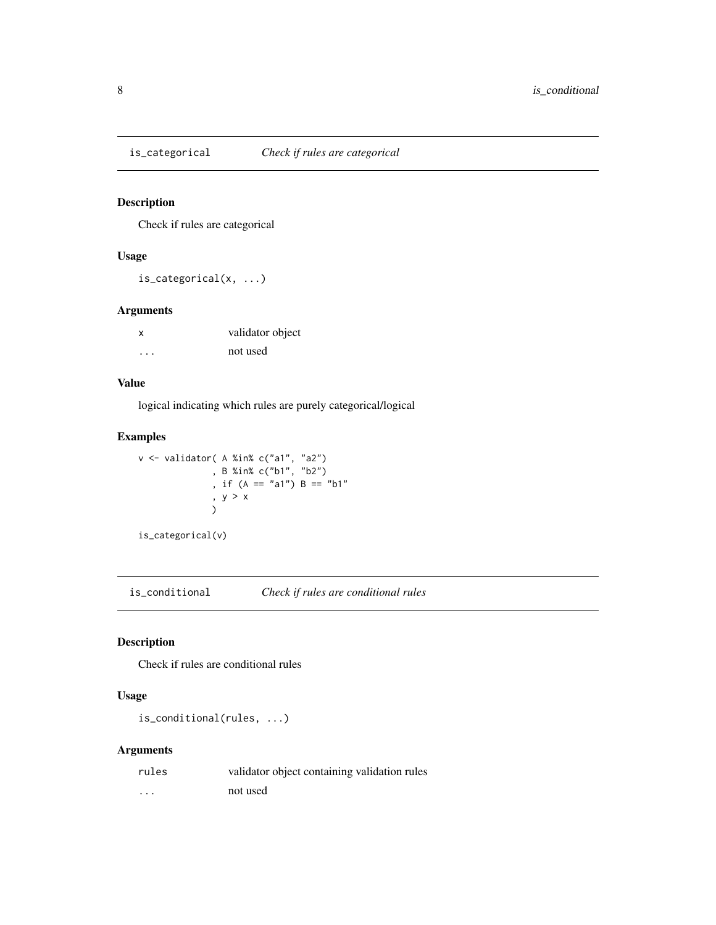<span id="page-7-0"></span>

## Description

Check if rules are categorical

## Usage

is\_categorical(x, ...)

#### Arguments

| $\boldsymbol{\mathsf{x}}$ | validator object |
|---------------------------|------------------|
| $\cdots$                  | not used         |

#### Value

logical indicating which rules are purely categorical/logical

## Examples

```
v <- validator( A %in% c("a1", "a2")
               , B %in% c("b1", "b2")
               , if (A == "a1") B == "b1"
               , y > x
               )
```
is\_categorical(v)

is\_conditional *Check if rules are conditional rules*

## Description

Check if rules are conditional rules

#### Usage

is\_conditional(rules, ...)

| rules    | validator object containing validation rules |
|----------|----------------------------------------------|
| $\cdots$ | not used                                     |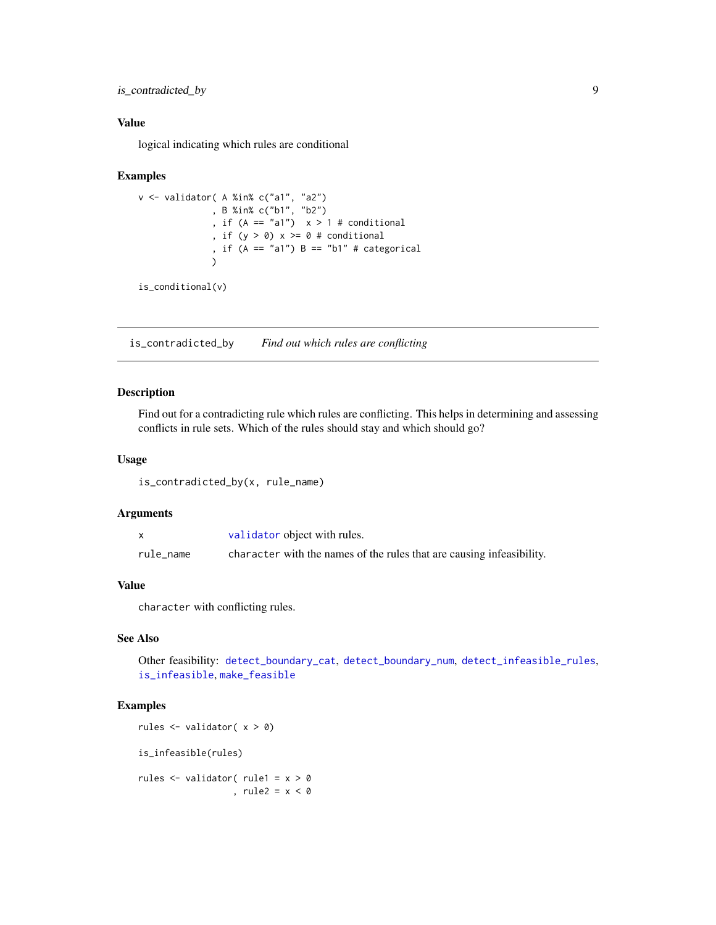<span id="page-8-0"></span>is\_contradicted\_by 9

#### Value

logical indicating which rules are conditional

#### Examples

```
v <- validator( A %in% c("a1", "a2")
              , B %in% c("b1", "b2")
              , if (A == "a1") x > 1 # conditional
              , if (y > 0) x \ge 0 # conditional
              , if (A == "a1") B == "b1" # categorical
              \lambda
```

```
is_conditional(v)
```
<span id="page-8-1"></span>is\_contradicted\_by *Find out which rules are conflicting*

## Description

Find out for a contradicting rule which rules are conflicting. This helps in determining and assessing conflicts in rule sets. Which of the rules should stay and which should go?

#### Usage

```
is_contradicted_by(x, rule_name)
```
## Arguments

|           | validator object with rules.                                          |
|-----------|-----------------------------------------------------------------------|
| rule name | character with the names of the rules that are causing infeasibility. |

## Value

character with conflicting rules.

#### See Also

Other feasibility: [detect\\_boundary\\_cat](#page-1-1), [detect\\_boundary\\_num](#page-2-1), [detect\\_infeasible\\_rules](#page-4-1), [is\\_infeasible](#page-10-1), [make\\_feasible](#page-11-1)

#### Examples

rules <- validator( x > 0) is\_infeasible(rules) rules <- validator( rule1 = x > 0 , rule2 =  $x < 0$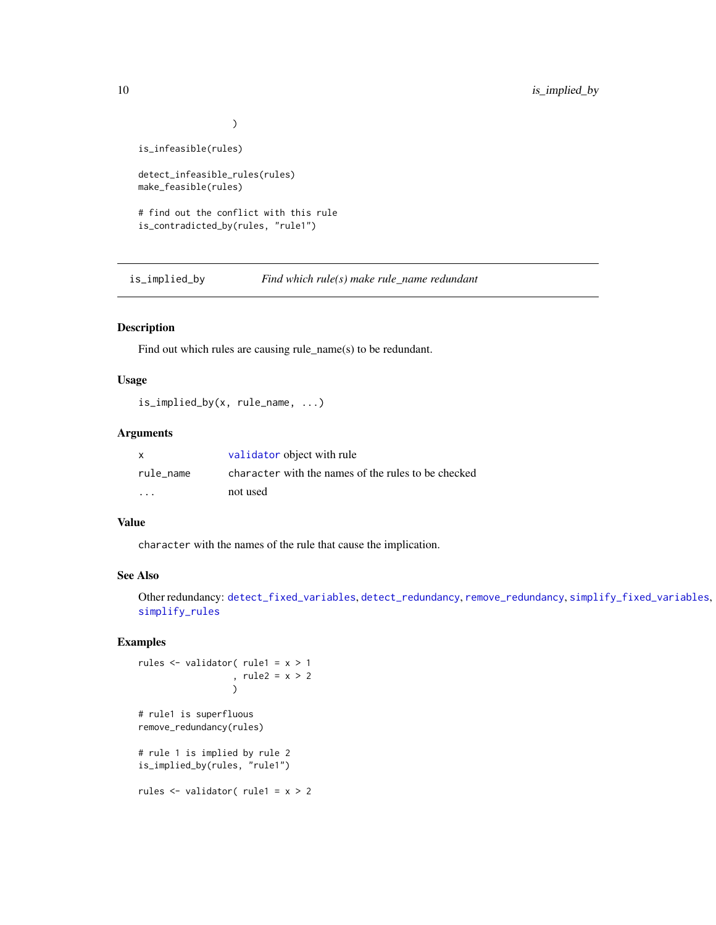```
)
```
<span id="page-9-0"></span>is\_infeasible(rules)

detect\_infeasible\_rules(rules) make\_feasible(rules)

# find out the conflict with this rule is\_contradicted\_by(rules, "rule1")

<span id="page-9-1"></span>is\_implied\_by *Find which rule(s) make rule\_name redundant*

## Description

Find out which rules are causing rule\_name(s) to be redundant.

#### Usage

```
is_implied_by(x, rule_name, ...)
```
## Arguments

| X                 | validator object with rule                          |
|-------------------|-----------------------------------------------------|
| rule name         | character with the names of the rules to be checked |
| $\cdot\cdot\cdot$ | not used                                            |

#### Value

character with the names of the rule that cause the implication.

## See Also

Other redundancy: [detect\\_fixed\\_variables](#page-3-1), [detect\\_redundancy](#page-5-1), [remove\\_redundancy](#page-12-1), [simplify\\_fixed\\_variables](#page-14-1), [simplify\\_rules](#page-15-1)

## Examples

rules <- validator( rule1 = x > 1 , rule2 = x > 2 ) # rule1 is superfluous remove\_redundancy(rules) # rule 1 is implied by rule 2 is\_implied\_by(rules, "rule1")

rules <- validator( rule1 = x > 2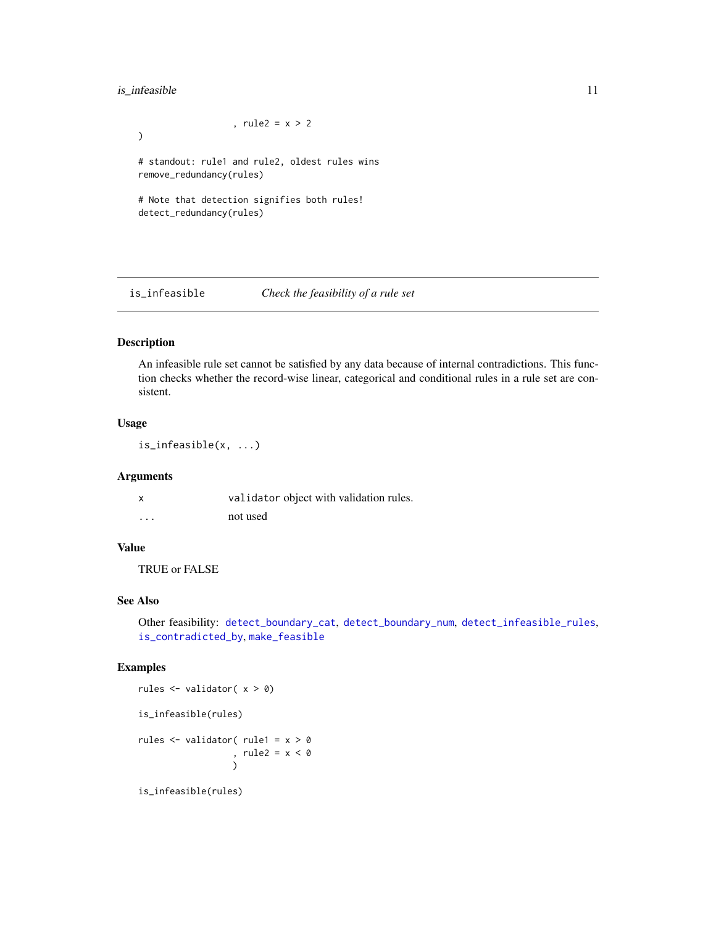## <span id="page-10-0"></span>is\_infeasible 11

, rule2 =  $x > 2$ ) # standout: rule1 and rule2, oldest rules wins remove\_redundancy(rules) # Note that detection signifies both rules! detect\_redundancy(rules)

<span id="page-10-1"></span>is\_infeasible *Check the feasibility of a rule set*

#### Description

An infeasible rule set cannot be satisfied by any data because of internal contradictions. This function checks whether the record-wise linear, categorical and conditional rules in a rule set are consistent.

## Usage

is\_infeasible(x, ...)

#### Arguments

|          | validator object with validation rules. |
|----------|-----------------------------------------|
| $\cdots$ | not used                                |

## Value

TRUE or FALSE

## See Also

Other feasibility: [detect\\_boundary\\_cat](#page-1-1), [detect\\_boundary\\_num](#page-2-1), [detect\\_infeasible\\_rules](#page-4-1), [is\\_contradicted\\_by](#page-8-1), [make\\_feasible](#page-11-1)

#### Examples

```
rules <- validator( x > 0)
is_infeasible(rules)
rules <- validator( rule1 = x > 0
                 , rule2 = x < 0)
```
is\_infeasible(rules)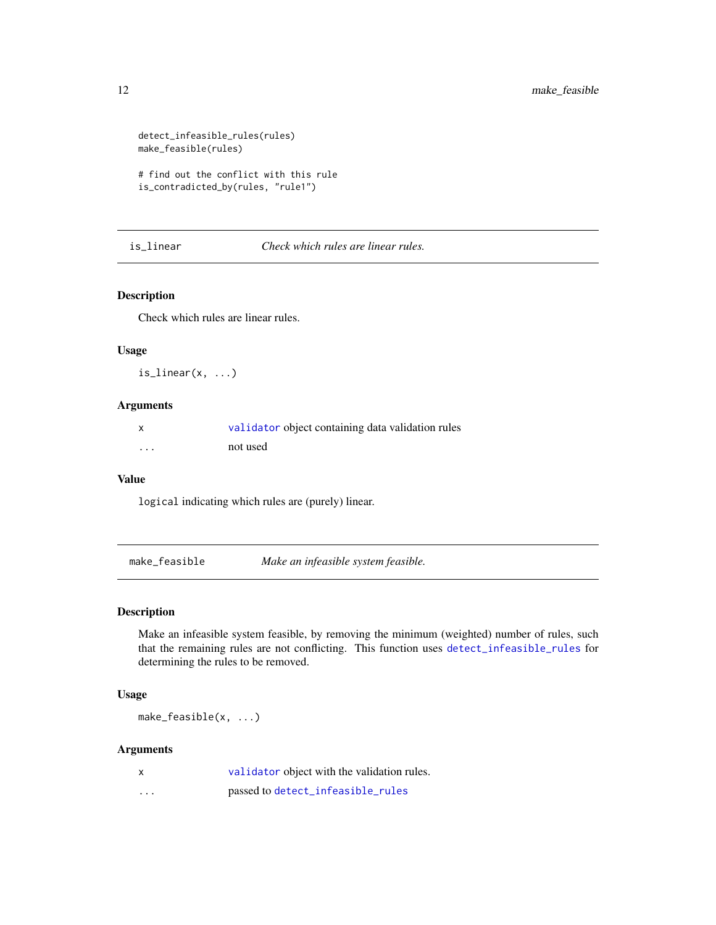```
detect_infeasible_rules(rules)
make_feasible(rules)
```
# find out the conflict with this rule is\_contradicted\_by(rules, "rule1")

is\_linear *Check which rules are linear rules.*

#### Description

Check which rules are linear rules.

#### Usage

 $is$ <sup>linear(x, ...)</sup>

## Arguments

|          | validator object containing data validation rules |
|----------|---------------------------------------------------|
| $\cdots$ | not used                                          |

#### Value

logical indicating which rules are (purely) linear.

<span id="page-11-1"></span>make\_feasible *Make an infeasible system feasible.*

#### Description

Make an infeasible system feasible, by removing the minimum (weighted) number of rules, such that the remaining rules are not conflicting. This function uses [detect\\_infeasible\\_rules](#page-4-1) for determining the rules to be removed.

## Usage

make\_feasible(x, ...)

| $\mathsf{x}$ | validator object with the validation rules. |
|--------------|---------------------------------------------|
| $\cdots$     | passed to detect_infeasible_rules           |

<span id="page-11-0"></span>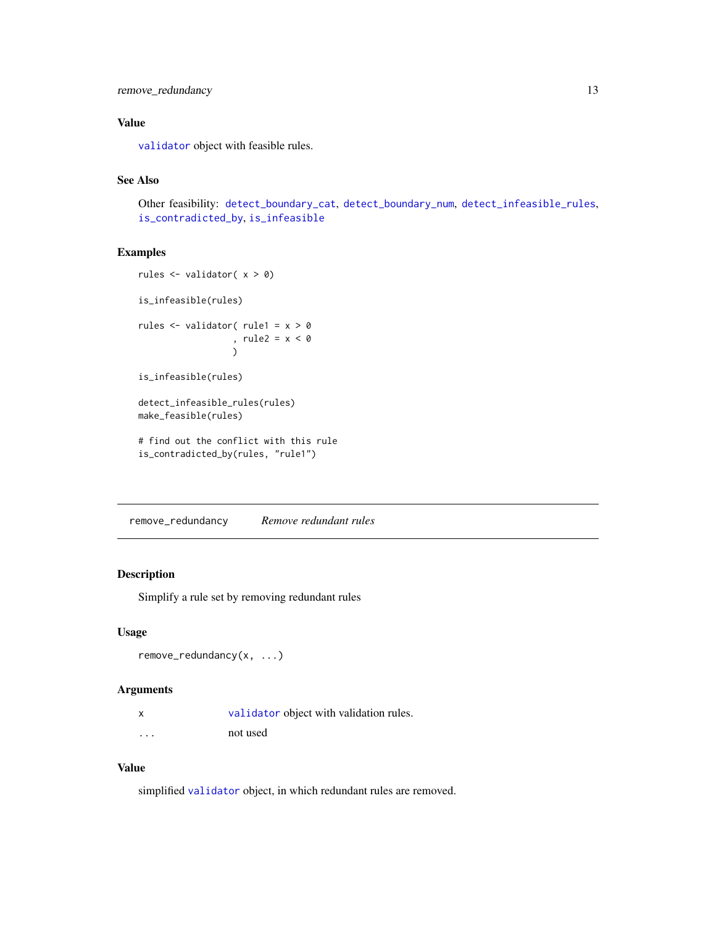## <span id="page-12-0"></span>remove\_redundancy 13

## Value

[validator](#page-0-0) object with feasible rules.

## See Also

Other feasibility: [detect\\_boundary\\_cat](#page-1-1), [detect\\_boundary\\_num](#page-2-1), [detect\\_infeasible\\_rules](#page-4-1), [is\\_contradicted\\_by](#page-8-1), [is\\_infeasible](#page-10-1)

## Examples

```
rules \le validator(x > 0)
is_infeasible(rules)
rules <- validator( rule1 = x > 0
                  , rule2 = x < 0
                  )
is_infeasible(rules)
detect_infeasible_rules(rules)
make_feasible(rules)
# find out the conflict with this rule
is_contradicted_by(rules, "rule1")
```
<span id="page-12-1"></span>remove\_redundancy *Remove redundant rules*

## Description

Simplify a rule set by removing redundant rules

#### Usage

```
remove_redundancy(x, ...)
```
#### Arguments

|          | validator object with validation rules. |
|----------|-----------------------------------------|
| $\cdots$ | not used                                |

#### Value

simplified [validator](#page-0-0) object, in which redundant rules are removed.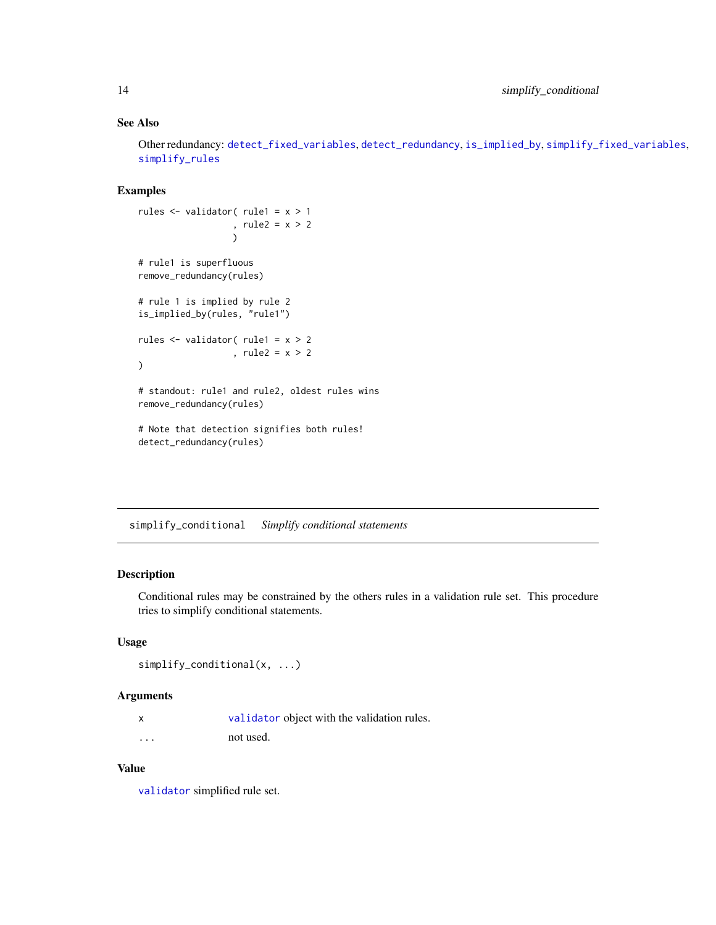## See Also

Other redundancy: [detect\\_fixed\\_variables](#page-3-1), [detect\\_redundancy](#page-5-1), [is\\_implied\\_by](#page-9-1), [simplify\\_fixed\\_variables](#page-14-1), [simplify\\_rules](#page-15-1)

#### Examples

```
rules <- validator( rule1 = x > 1
                  , rule2 = x > 2
                  \lambda# rule1 is superfluous
remove_redundancy(rules)
# rule 1 is implied by rule 2
is_implied_by(rules, "rule1")
rules <- validator( rule1 = x > 2
                  , rule2 = x > 2\mathcal{L}# standout: rule1 and rule2, oldest rules wins
remove_redundancy(rules)
# Note that detection signifies both rules!
detect_redundancy(rules)
```
<span id="page-13-1"></span>simplify\_conditional *Simplify conditional statements*

## Description

Conditional rules may be constrained by the others rules in a validation rule set. This procedure tries to simplify conditional statements.

## Usage

```
simplify_conditional(x, ...)
```
#### Arguments

| validator object with the validation rules. |  |  |
|---------------------------------------------|--|--|
|                                             |  |  |

... not used.

## Value

[validator](#page-0-0) simplified rule set.

<span id="page-13-0"></span>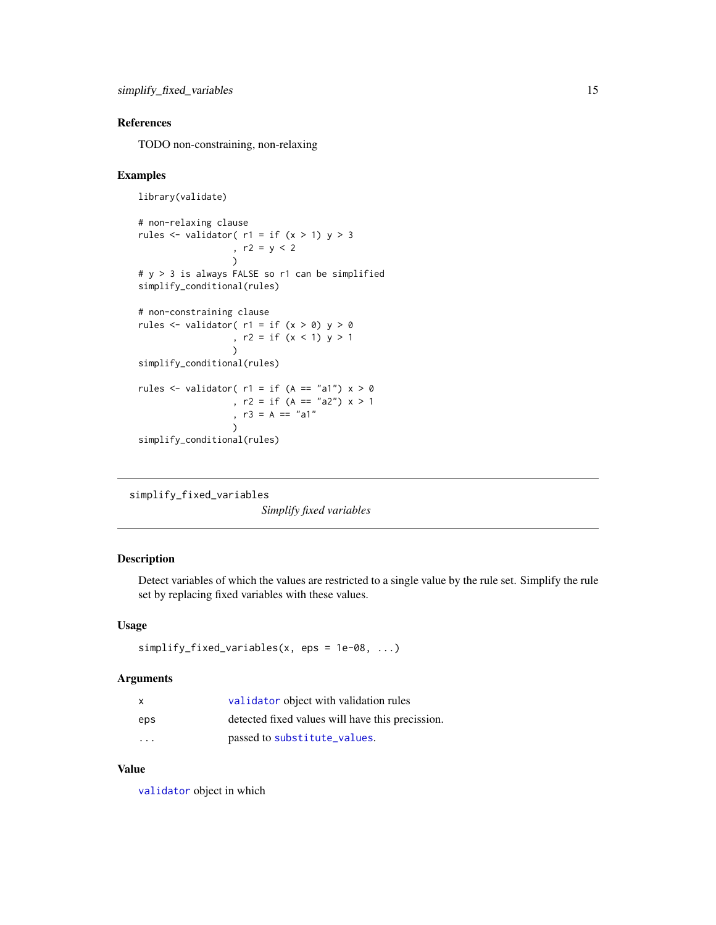## <span id="page-14-0"></span>References

TODO non-constraining, non-relaxing

#### Examples

```
library(validate)
```

```
# non-relaxing clause
rules \le validator( r1 = if (x > 1) y > 3, r2 = y < 2
                  \lambda# y > 3 is always FALSE so r1 can be simplified
simplify_conditional(rules)
```

```
rules \le validator( r1 = if (x > 0) y > 0
                  , r2 = if (x < 1) y > 1
                  )
simplify_conditional(rules)
rules <- validator(r1 = if (A == "a1") x > 0, r2 = if (A == "a2") x > 1, r3 = A == "a1"
                  \lambda
```

```
simplify_conditional(rules)
```
# non-constraining clause

```
simplify_fixed_variables
```
*Simplify fixed variables*

## Description

Detect variables of which the values are restricted to a single value by the rule set. Simplify the rule set by replacing fixed variables with these values.

#### Usage

```
simplify_fixed_variables(x, eps = 1e-08, ...)
```
#### Arguments

| X   | validator object with validation rules           |
|-----|--------------------------------------------------|
| eps | detected fixed values will have this precission. |
| .   | passed to substitute_values.                     |

#### Value

[validator](#page-0-0) object in which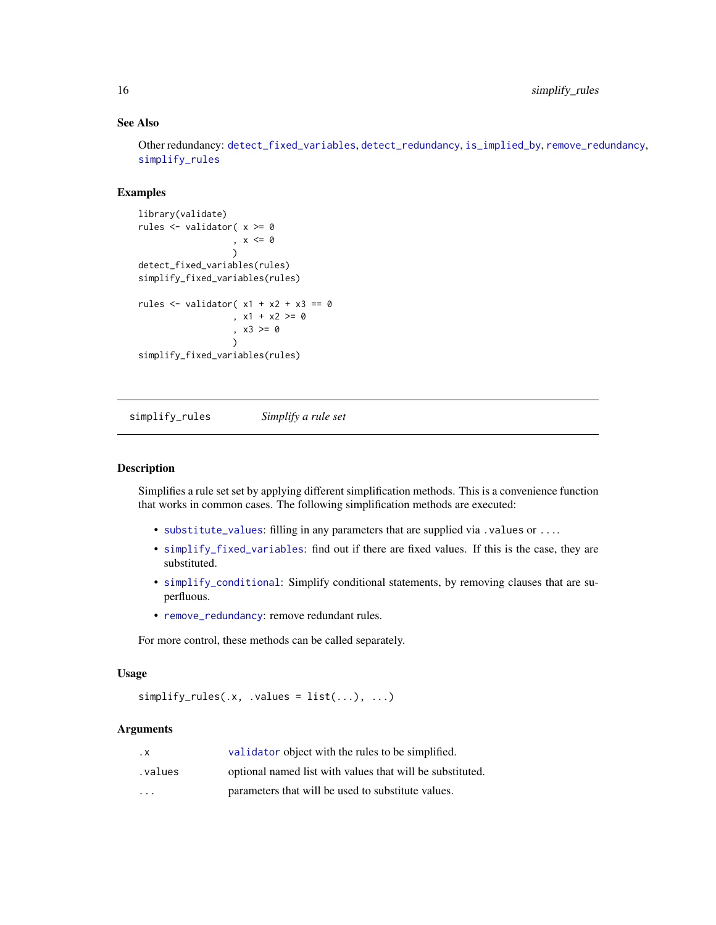## See Also

Other redundancy: [detect\\_fixed\\_variables](#page-3-1), [detect\\_redundancy](#page-5-1), [is\\_implied\\_by](#page-9-1), [remove\\_redundancy](#page-12-1), [simplify\\_rules](#page-15-1)

## Examples

```
library(validate)
rules <- validator( x >= 0
                  , x <= 0
                  )
detect_fixed_variables(rules)
simplify_fixed_variables(rules)
rules \le validator( x1 + x2 + x3 == 0, x1 + x2 > = 0, x3 >= 0
                  )
simplify_fixed_variables(rules)
```
<span id="page-15-1"></span>simplify\_rules *Simplify a rule set*

#### Description

Simplifies a rule set set by applying different simplification methods. This is a convenience function that works in common cases. The following simplification methods are executed:

- [substitute\\_values](#page-16-1): filling in any parameters that are supplied via .values or ....
- [simplify\\_fixed\\_variables](#page-14-1): find out if there are fixed values. If this is the case, they are substituted.
- [simplify\\_conditional](#page-13-1): Simplify conditional statements, by removing clauses that are superfluous.
- [remove\\_redundancy](#page-12-1): remove redundant rules.

For more control, these methods can be called separately.

#### Usage

```
simplify_{rules}(x, .values = list(...), ...)
```

| . х                     | validator object with the rules to be simplified.         |
|-------------------------|-----------------------------------------------------------|
| .values                 | optional named list with values that will be substituted. |
| $\cdot$ $\cdot$ $\cdot$ | parameters that will be used to substitute values.        |

<span id="page-15-0"></span>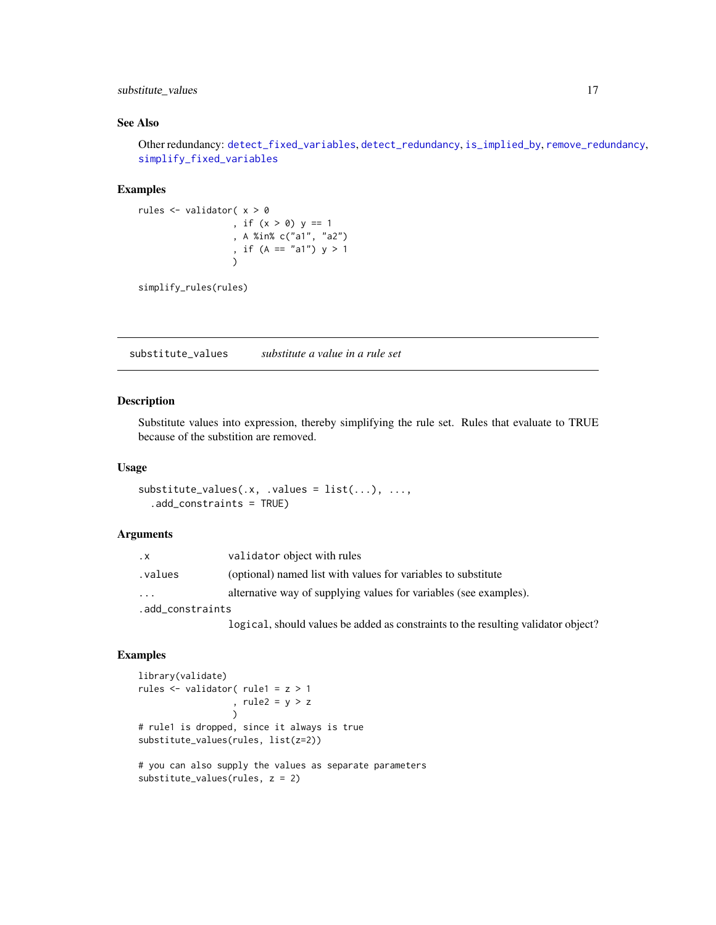<span id="page-16-0"></span>substitute\_values 17

## See Also

Other redundancy: [detect\\_fixed\\_variables](#page-3-1), [detect\\_redundancy](#page-5-1), [is\\_implied\\_by](#page-9-1), [remove\\_redundancy](#page-12-1), [simplify\\_fixed\\_variables](#page-14-1)

#### Examples

```
rules <- validator( x > 0
                   , if (x > 0) y == 1
                   , A %in% c("a1", "a2")
                   , if (A == "a1") y > 1\lambda
```
simplify\_rules(rules)

<span id="page-16-1"></span>substitute\_values *substitute a value in a rule set*

#### Description

Substitute values into expression, thereby simplifying the rule set. Rules that evaluate to TRUE because of the substition are removed.

#### Usage

```
substitute\_values(x, .values = list(...), . . . ,.add_constraints = TRUE)
```
## Arguments

| $\cdot$ X        | validator object with rules                                                       |
|------------------|-----------------------------------------------------------------------------------|
| .values          | (optional) named list with values for variables to substitute                     |
| $\cdots$         | alternative way of supplying values for variables (see examples).                 |
| .add_constraints |                                                                                   |
|                  | logical, should values be added as constraints to the resulting validator object? |

## Examples

```
library(validate)
rules <- validator( rule1 = z > 1
                  , rule2 = y > z
                  \lambda# rule1 is dropped, since it always is true
substitute_values(rules, list(z=2))
# you can also supply the values as separate parameters
substitute_values(rules, z = 2)
```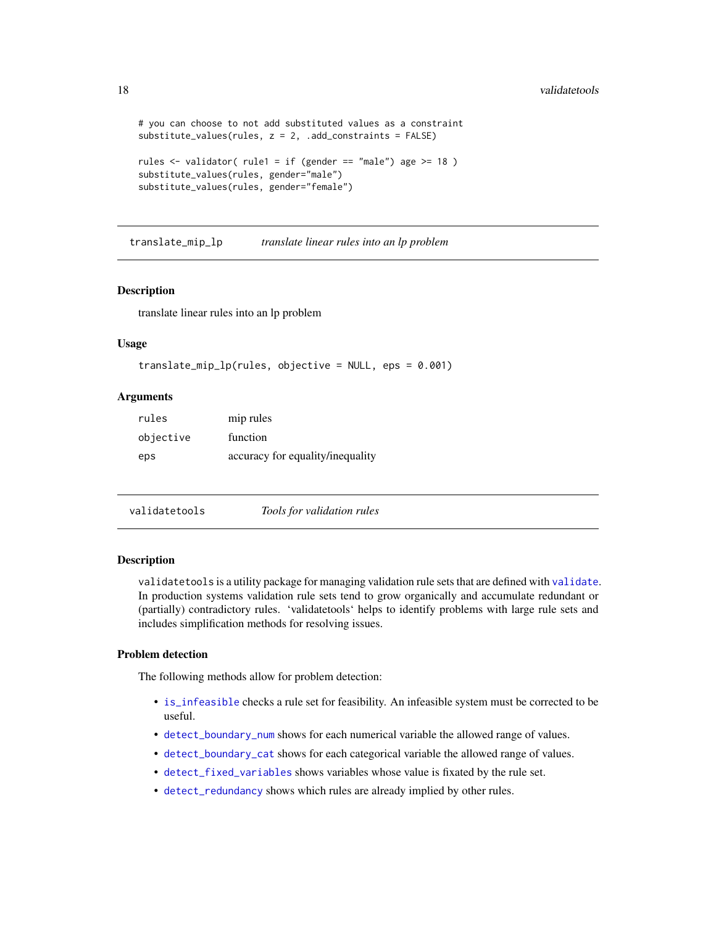```
# you can choose to not add substituted values as a constraint
substitute_values(rules, z = 2, .add_constraints = FALSE)
rules \le validator( rule1 = if (gender == "male") age >= 18 )
substitute_values(rules, gender="male")
substitute_values(rules, gender="female")
```
translate\_mip\_lp *translate linear rules into an lp problem*

## **Description**

translate linear rules into an lp problem

#### Usage

```
translate_mip_lp(rules, objective = NULL, eps = 0.001)
```
#### Arguments

| rules     | mip rules                        |
|-----------|----------------------------------|
| objective | function                         |
| eps       | accuracy for equality/inequality |

validatetools *Tools for validation rules*

#### Description

validatetools is a utility package for managing validation rule sets that are defined with [validate](#page-0-0). In production systems validation rule sets tend to grow organically and accumulate redundant or (partially) contradictory rules. 'validatetools' helps to identify problems with large rule sets and includes simplification methods for resolving issues.

## Problem detection

The following methods allow for problem detection:

- [is\\_infeasible](#page-10-1) checks a rule set for feasibility. An infeasible system must be corrected to be useful.
- [detect\\_boundary\\_num](#page-2-1) shows for each numerical variable the allowed range of values.
- [detect\\_boundary\\_cat](#page-1-1) shows for each categorical variable the allowed range of values.
- [detect\\_fixed\\_variables](#page-3-1) shows variables whose value is fixated by the rule set.
- [detect\\_redundancy](#page-5-1) shows which rules are already implied by other rules.

<span id="page-17-0"></span>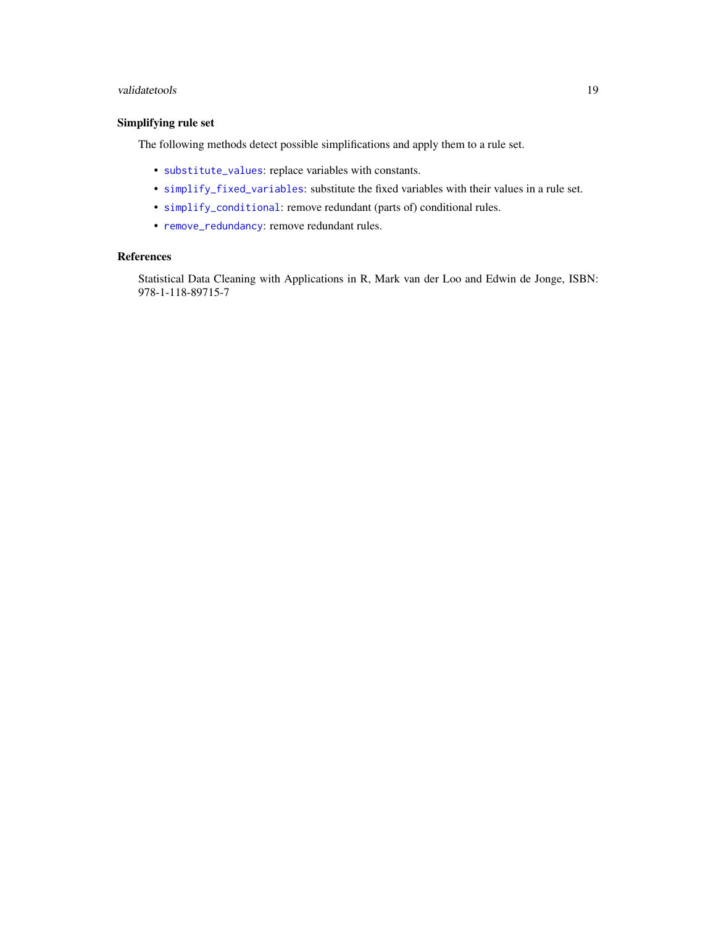## <span id="page-18-0"></span>validatetools and the set of the set of the set of the set of the set of the set of the set of the set of the set of the set of the set of the set of the set of the set of the set of the set of the set of the set of the se

## Simplifying rule set

The following methods detect possible simplifications and apply them to a rule set.

- [substitute\\_values](#page-16-1): replace variables with constants.
- [simplify\\_fixed\\_variables](#page-14-1): substitute the fixed variables with their values in a rule set.
- [simplify\\_conditional](#page-13-1): remove redundant (parts of) conditional rules.
- [remove\\_redundancy](#page-12-1): remove redundant rules.

## References

Statistical Data Cleaning with Applications in R, Mark van der Loo and Edwin de Jonge, ISBN: 978-1-118-89715-7